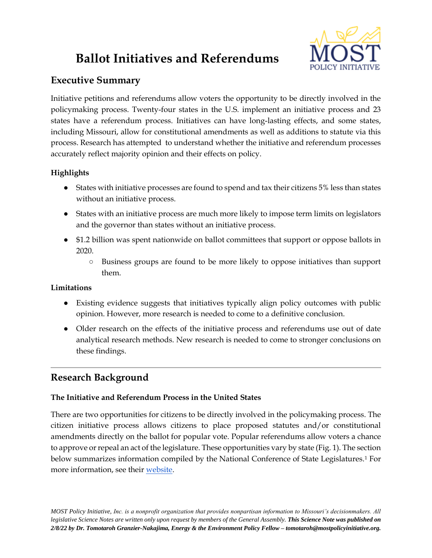# **Ballot Initiatives and Referendums**



## **Executive Summary**

Initiative petitions and referendums allow voters the opportunity to be directly involved in the policymaking process. Twenty-four states in the U.S. implement an initiative process and 23 states have a referendum process. Initiatives can have long-lasting effects, and some states, including Missouri, allow for constitutional amendments as well as additions to statute via this process. Research has attempted to understand whether the initiative and referendum processes accurately reflect majority opinion and their effects on policy.

### **Highlights**

- States with initiative processes are found to spend and tax their citizens 5% less than states without an initiative process.
- States with an initiative process are much more likely to impose term limits on legislators and the governor than states without an initiative process.
- \$1.2 billion was spent nationwide on ballot committees that support or oppose ballots in 2020.
	- Business groups are found to be more likely to oppose initiatives than support them.

#### **Limitations**

- Existing evidence suggests that initiatives typically align policy outcomes with public opinion. However, more research is needed to come to a definitive conclusion.
- Older research on the effects of the initiative process and referendums use out of date analytical research methods. New research is needed to come to stronger conclusions on these findings.

## **Research Background**

#### **The Initiative and Referendum Process in the United States**

There are two opportunities for citizens to be directly involved in the policymaking process. The citizen initiative process allows citizens to place proposed statutes and/or constitutional amendments directly on the ballot for popular vote. Popular referendums allow voters a chance to approve or repeal an act of the legislature. These opportunities vary by state (Fig. 1). The section below summarizes information compiled by the National Conference of State Legislatures.<sup>1</sup> For more information, see their [website.](https://www.ncsl.org/research/elections-and-campaigns/initiative-and-referendum-processes.aspx#/)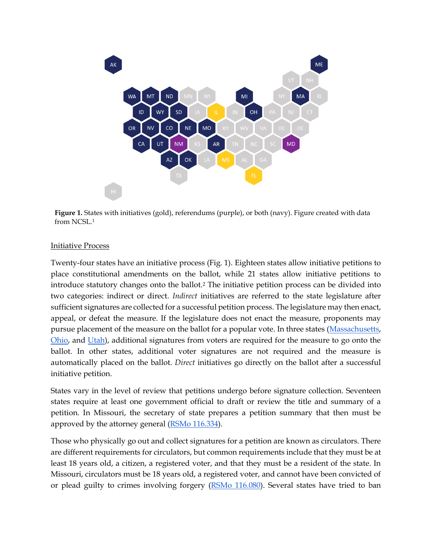

**Figure 1.** States with initiatives (gold), referendums (purple), or both (navy). Figure created with data from NCSL.<sup>1</sup>

#### Initiative Process

Twenty-four states have an initiative process (Fig. 1). Eighteen states allow initiative petitions to place constitutional amendments on the ballot, while 21 states allow initiative petitions to introduce statutory changes onto the ballot.<sup>2</sup> The initiative petition process can be divided into two categories: indirect or direct. *Indirect* initiatives are referred to the state legislature after sufficient signatures are collected for a successful petition process. The legislature may then enact, appeal, or defeat the measure. If the legislature does not enact the measure, proponents may pursue placement of the measure on the ballot for a popular vote. In three states [\(Massachusetts,](https://malegislature.gov/laws/constitution#amendmentArticleXLVIIIInitiative) [Ohio,](https://codes.ohio.gov/ohio-constitution/section-2.1b) and [Utah\)](https://le.utah.gov/xcode/Title20A/Chapter7/20A-7-S208.html?v=C20A-7-S208_2019051420190514), additional signatures from voters are required for the measure to go onto the ballot. In other states, additional voter signatures are not required and the measure is automatically placed on the ballot. *Direct* initiatives go directly on the ballot after a successful initiative petition.

States vary in the level of review that petitions undergo before signature collection. Seventeen states require at least one government official to draft or review the title and summary of a petition. In Missouri, the secretary of state prepares a petition summary that then must be approved by the attorney general [\(RSMo 116.334\)](https://revisor.mo.gov/main/OneSection.aspx?section=116.334).

Those who physically go out and collect signatures for a petition are known as circulators. There are different requirements for circulators, but common requirements include that they must be at least 18 years old, a citizen, a registered voter, and that they must be a resident of the state. In Missouri, circulators must be 18 years old, a registered voter, and cannot have been convicted of or plead guilty to crimes involving forgery [\(RSMo 116.080\)](https://revisor.mo.gov/main/OneSection.aspx?section=116.080). Several states have tried to ban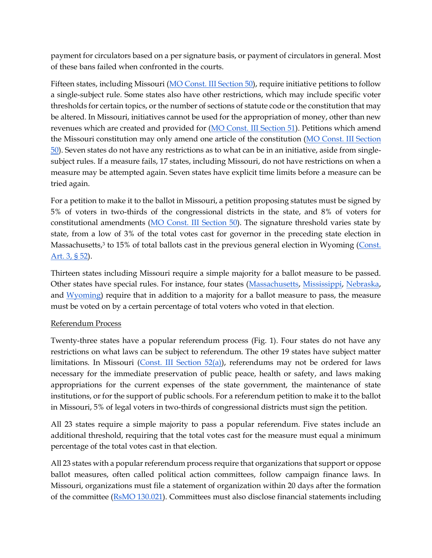payment for circulators based on a per signature basis, or payment of circulators in general. Most of these bans failed when confronted in the courts.

Fifteen states, including Missouri [\(MO Const. III Section 50\)](https://revisor.mo.gov/main/OneSection.aspx?section=III%20%20%2050&constit=y), require initiative petitions to follow a single-subject rule. Some states also have other restrictions, which may include specific voter thresholds for certain topics, or the number of sections of statute code or the constitution that may be altered. In Missouri, initiatives cannot be used for the appropriation of money, other than new revenues which are created and provided for [\(MO Const. III Section 51\)](https://revisor.mo.gov/main/OneSection.aspx?section=III%20%20%2051&constit=y). Petitions which amend the Missouri constitution may only amend one article of the constitution [\(MO Const. III Section](https://revisor.mo.gov/main/OneSection.aspx?section=III%20%20%2050&constit=y)  [50\)](https://revisor.mo.gov/main/OneSection.aspx?section=III%20%20%2050&constit=y). Seven states do not have any restrictions as to what can be in an initiative, aside from singlesubject rules. If a measure fails, 17 states, including Missouri, do not have restrictions on when a measure may be attempted again. Seven states have explicit time limits before a measure can be tried again.

For a petition to make it to the ballot in Missouri, a petition proposing statutes must be signed by 5% of voters in two-thirds of the congressional districts in the state, and 8% of voters for constitutional amendments [\(MO Const. III Section 50\)](https://revisor.mo.gov/main/OneSection.aspx?section=III%20%20%2050&constit=y). The signature threshold varies state by state, from a low of 3% of the total votes cast for governor in the preceding state election in Massachusetts,<sup>3</sup> to 15% of total ballots cast in the previous general election in Wyoming (Const. [Art. 3, § 52\)](https://wyoleg.gov/NXT/gateway.dll/Statutes/2021%20Constitution/2/6?f=templates&fn=document-frameset.htm).

Thirteen states including Missouri require a simple majority for a ballot measure to be passed. Other states have special rules. For instance, four states [\(Massachusetts,](https://malegislature.gov/laws/constitution#amendmentArticleXLVIIIInitiative) [Mississippi,](https://www.sos.state.ms.us/ed_pubs/constitution/constitution.asp) [Nebraska,](https://nebraskalegislature.gov/laws/articles.php?article=III-4) and [Wyoming\)](https://wyoleg.gov/NXT/gateway.dll/Statutes/2021%20Titles/1265/1267?f=templates&fn=document-frameset.htm) require that in addition to a majority for a ballot measure to pass, the measure must be voted on by a certain percentage of total voters who voted in that election.

#### Referendum Process

Twenty-three states have a popular referendum process (Fig. 1). Four states do not have any restrictions on what laws can be subject to referendum. The other 19 states have subject matter limitations. In Missouri (Const. III Section  $52(a)$ ), referendums may not be ordered for laws necessary for the immediate preservation of public peace, health or safety, and laws making appropriations for the current expenses of the state government, the maintenance of state institutions, or for the support of public schools. For a referendum petition to make it to the ballot in Missouri, 5% of legal voters in two-thirds of congressional districts must sign the petition.

All 23 states require a simple majority to pass a popular referendum. Five states include an additional threshold, requiring that the total votes cast for the measure must equal a minimum percentage of the total votes cast in that election.

All 23 states with a popular referendum process require that organizations that support or oppose ballot measures, often called political action committees, follow campaign finance laws. In Missouri, organizations must file a statement of organization within 20 days after the formation of the committee [\(RsMO](https://revisor.mo.gov/main/OneSection.aspx?section=130.021) [130.021\)](https://revisor.mo.gov/main/OneSection.aspx?section=130.021). Committees must also disclose financial statements including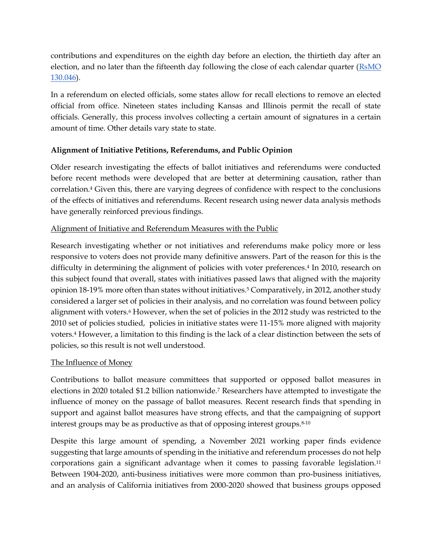contributions and expenditures on the eighth day before an election, the thirtieth day after an election, and no later than the fifteenth day following the close of each calendar quarter [\(RsMO](https://revisor.mo.gov/main/OneSection.aspx?section=130.046)  [130.046\)](https://revisor.mo.gov/main/OneSection.aspx?section=130.046).

In a referendum on elected officials, some states allow for recall elections to remove an elected official from office. Nineteen states including Kansas and Illinois permit the recall of state officials. Generally, this process involves collecting a certain amount of signatures in a certain amount of time. Other details vary state to state.

#### **Alignment of Initiative Petitions, Referendums, and Public Opinion**

Older research investigating the effects of ballot initiatives and referendums were conducted before recent methods were developed that are better at determining causation, rather than correlation.<sup>4</sup> Given this, there are varying degrees of confidence with respect to the conclusions of the effects of initiatives and referendums. Recent research using newer data analysis methods have generally reinforced previous findings.

#### Alignment of Initiative and Referendum Measures with the Public

Research investigating whether or not initiatives and referendums make policy more or less responsive to voters does not provide many definitive answers. Part of the reason for this is the difficulty in determining the alignment of policies with voter preferences.<sup>4</sup> In 2010, research on this subject found that overall, states with initiatives passed laws that aligned with the majority opinion 18-19% more often than states without initiatives.<sup>5</sup> Comparatively, in 2012, another study considered a larger set of policies in their analysis, and no correlation was found between policy alignment with voters.<sup>6</sup> However, when the set of policies in the 2012 study was restricted to the 2010 set of policies studied, policies in initiative states were 11-15% more aligned with majority voters.<sup>4</sup> However, a limitation to this finding is the lack of a clear distinction between the sets of policies, so this result is not well understood.

#### The Influence of Money

Contributions to ballot measure committees that supported or opposed ballot measures in elections in 2020 totaled \$1.2 billion nationwide.<sup>7</sup> Researchers have attempted to investigate the influence of money on the passage of ballot measures. Recent research finds that spending in support and against ballot measures have strong effects, and that the campaigning of support interest groups may be as productive as that of opposing interest groups.<sup>8-10</sup>

Despite this large amount of spending, a November 2021 working paper finds evidence suggesting that large amounts of spending in the initiative and referendum processes do not help corporations gain a significant advantage when it comes to passing favorable legislation.<sup>11</sup> Between 1904-2020, anti-business initiatives were more common than pro-business initiatives, and an analysis of California initiatives from 2000-2020 showed that business groups opposed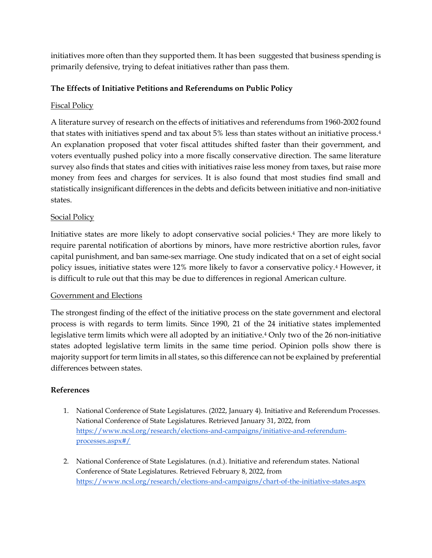initiatives more often than they supported them. It has been suggested that business spending is primarily defensive, trying to defeat initiatives rather than pass them.

#### **The Effects of Initiative Petitions and Referendums on Public Policy**

#### Fiscal Policy

A literature survey of research on the effects of initiatives and referendums from 1960-2002 found that states with initiatives spend and tax about 5% less than states without an initiative process.<sup>4</sup> An explanation proposed that voter fiscal attitudes shifted faster than their government, and voters eventually pushed policy into a more fiscally conservative direction. The same literature survey also finds that states and cities with initiatives raise less money from taxes, but raise more money from fees and charges for services. It is also found that most studies find small and statistically insignificant differences in the debts and deficits between initiative and non-initiative states.

#### Social Policy

Initiative states are more likely to adopt conservative social policies.<sup>4</sup> They are more likely to require parental notification of abortions by minors, have more restrictive abortion rules, favor capital punishment, and ban same-sex marriage. One study indicated that on a set of eight social policy issues, initiative states were 12% more likely to favor a conservative policy.<sup>4</sup> However, it is difficult to rule out that this may be due to differences in regional American culture.

#### Government and Elections

The strongest finding of the effect of the initiative process on the state government and electoral process is with regards to term limits. Since 1990, 21 of the 24 initiative states implemented legislative term limits which were all adopted by an initiative.<sup>4</sup> Only two of the 26 non-initiative states adopted legislative term limits in the same time period. Opinion polls show there is majority support for term limits in all states, so this difference can not be explained by preferential differences between states.

#### **References**

- 1. National Conference of State Legislatures. (2022, January 4). Initiative and Referendum Processes. National Conference of State Legislatures. Retrieved January 31, 2022, from [https://www.ncsl.org/research/elections-and-campaigns/initiative-and-referendum](https://www.ncsl.org/research/elections-and-campaigns/initiative-and-referendum-processes.aspx#/)[processes.aspx#/](https://www.ncsl.org/research/elections-and-campaigns/initiative-and-referendum-processes.aspx#/)
- 2. National Conference of State Legislatures. (n.d.). Initiative and referendum states. National Conference of State Legislatures. Retrieved February 8, 2022, from <https://www.ncsl.org/research/elections-and-campaigns/chart-of-the-initiative-states.aspx>